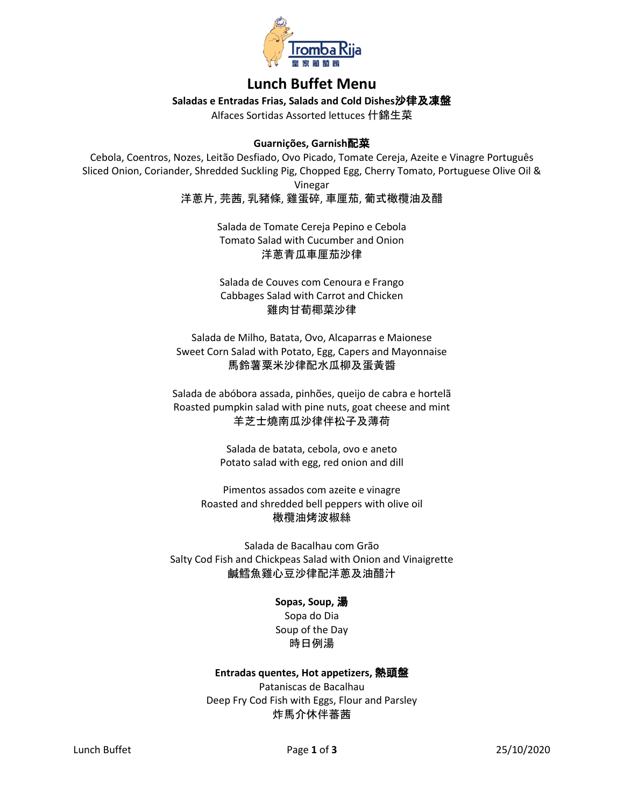

# **Lunch Buffet Menu**

**Saladas e Entradas Frias, Salads and Cold Dishes**沙律及凍盤

Alfaces Sortidas Assorted lettuces 什錦生菜

# **Guarnições, Garnish**配菜

Cebola, Coentros, Nozes, Leitão Desfiado, Ovo Picado, Tomate Cereja, Azeite e Vinagre Português Sliced Onion, Coriander, Shredded Suckling Pig, Chopped Egg, Cherry Tomato, Portuguese Olive Oil &

Vinegar

洋蔥片, 芫茜, 乳豬條, 雞蛋碎, 車厘茄, 葡式橄欖油及醋

Salada de Tomate Cereja Pepino e Cebola Tomato Salad with Cucumber and Onion 洋蔥青瓜車厘茄沙律

Salada de Couves com Cenoura e Frango Cabbages Salad with Carrot and Chicken 雞肉甘荀椰菜沙律

Salada de Milho, Batata, Ovo, Alcaparras e Maionese Sweet Corn Salad with Potato, Egg, Capers and Mayonnaise 馬鈴薯粟米沙律配水瓜柳及蛋黃醬

Salada de abóbora assada, pinhões, queijo de cabra e hortelã Roasted pumpkin salad with pine nuts, goat cheese and mint 羊芝士燒南瓜沙律伴松子及薄荷

> Salada de batata, cebola, ovo e aneto Potato salad with egg, red onion and dill

Pimentos assados com azeite e vinagre Roasted and shredded bell peppers with olive oil 橄欖油烤波椒絲

Salada de Bacalhau com Grão Salty Cod Fish and Chickpeas Salad with Onion and Vinaigrette 鹹鱈魚雞心豆沙律配洋蔥及油醋汁

#### **Sopas, Soup,** 湯

Sopa do Dia Soup of the Day 時日例湯

#### **Entradas quentes, Hot appetizers,** 熱頭盤

Pataniscas de Bacalhau Deep Fry Cod Fish with Eggs, Flour and Parsley 炸馬介休伴蕃茜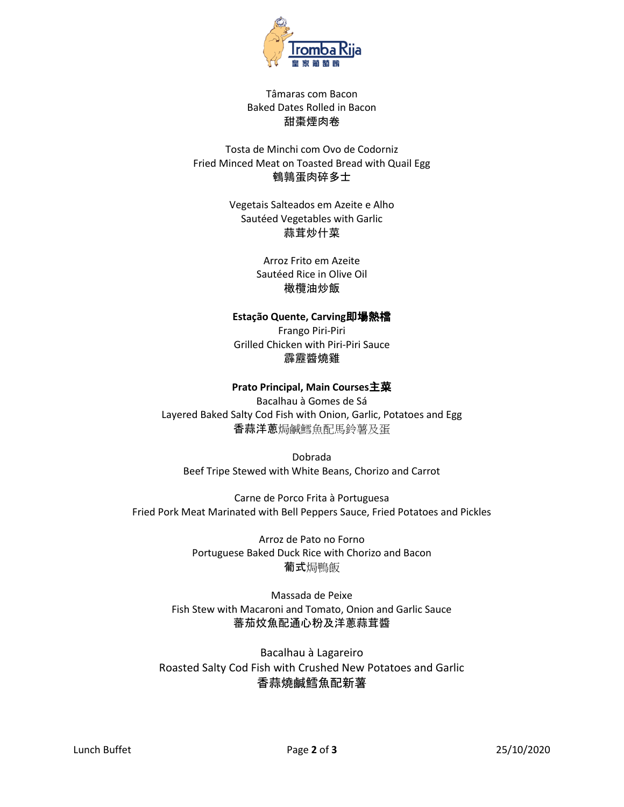

# Tâmaras com Bacon Baked Dates Rolled in Bacon 甜棗煙肉卷

# Tosta de Minchi com Ovo de Codorniz Fried Minced Meat on Toasted Bread with Quail Egg 鵪鶉蛋肉碎多士

Vegetais Salteados em Azeite e Alho Sautéed Vegetables with Garlic 蒜茸炒什菜

> Arroz Frito em Azeite Sautéed Rice in Olive Oil 橄欖油炒飯

# **Estação Quente, Carving**即場熱檔

Frango Piri-Piri Grilled Chicken with Piri-Piri Sauce 霹靂醬燒雞

# **Prato Principal, Main Courses**主菜

Bacalhau à Gomes de Sá Layered Baked Salty Cod Fish with Onion, Garlic, Potatoes and Egg 香蒜洋蔥焗鹹鱈魚配馬鈴薯及蛋

Dobrada Beef Tripe Stewed with White Beans, Chorizo and Carrot

Carne de Porco Frita à Portuguesa Fried Pork Meat Marinated with Bell Peppers Sauce, Fried Potatoes and Pickles

> Arroz de Pato no Forno Portuguese Baked Duck Rice with Chorizo and Bacon 葡式焗鴨飯

Massada de Peixe Fish Stew with Macaroni and Tomato, Onion and Garlic Sauce 蕃茄炆魚配通心粉及洋蔥蒜茸醬

Bacalhau à Lagareiro Roasted Salty Cod Fish with Crushed New Potatoes and Garlic 香蒜燒鹹鱈魚配新薯